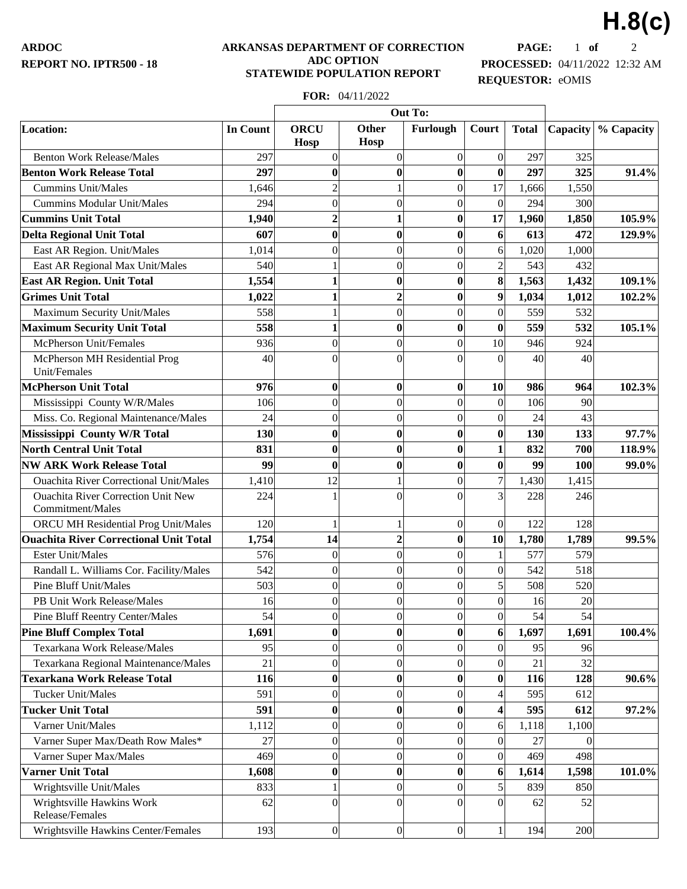**ARDOC REPORT NO. IPTR500 - 18**

#### **ARKANSAS DEPARTMENT OF CORRECTION ADC OPTION STATEWIDE POPULATION REPORT**

**PAGE:** 1 **of** 2 **PROCESSED:** 04/11/2022 12:32 AM **REQUESTOR:** eOMIS

**H.8(c)**

# **FOR:** 04/11/2022

|                                                               |                 | Out To:                    |                         |                  |                  |              |          |            |
|---------------------------------------------------------------|-----------------|----------------------------|-------------------------|------------------|------------------|--------------|----------|------------|
| Location:                                                     | <b>In Count</b> | <b>ORCU</b><br><b>Hosp</b> | <b>Other</b><br>Hosp    | Furlough         | Court            | <b>Total</b> | Capacity | % Capacity |
| <b>Benton Work Release/Males</b>                              | 297             | $\overline{0}$             | $\mathbf{0}$            | $\overline{0}$   | $\vert 0 \vert$  | 297          | 325      |            |
| <b>Benton Work Release Total</b>                              | 297             | $\bf{0}$                   | $\bf{0}$                | $\bf{0}$         | $\boldsymbol{0}$ | 297          | 325      | 91.4%      |
| <b>Cummins Unit/Males</b>                                     | 1,646           | $\overline{c}$             | 1                       | $\overline{0}$   | 17               | 1,666        | 1,550    |            |
| <b>Cummins Modular Unit/Males</b>                             | 294             | $\overline{0}$             | $\boldsymbol{0}$        | $\overline{0}$   | $\overline{0}$   | 294          | 300      |            |
| <b>Cummins Unit Total</b>                                     | 1,940           | $\overline{2}$             | $\mathbf{1}$            | $\bf{0}$         | 17               | 1,960        | 1,850    | 105.9%     |
| <b>Delta Regional Unit Total</b>                              | 607             | 0                          | $\bf{0}$                | $\bf{0}$         | 6 <sup>1</sup>   | 613          | 472      | 129.9%     |
| East AR Region. Unit/Males                                    | 1,014           | $\theta$                   | $\overline{0}$          | $\overline{0}$   | $\overline{6}$   | 1,020        | 1,000    |            |
| East AR Regional Max Unit/Males                               | 540             |                            | $\overline{0}$          | $\overline{0}$   | $\overline{2}$   | 543          | 432      |            |
| <b>East AR Region. Unit Total</b>                             | 1,554           | 1                          | $\bf{0}$                | $\bf{0}$         | 8                | 1,563        | 1,432    | 109.1%     |
| <b>Grimes Unit Total</b>                                      | 1,022           | 1                          | $\overline{2}$          | $\bf{0}$         | 9                | 1,034        | 1,012    | 102.2%     |
| Maximum Security Unit/Males                                   | 558             | 1                          | $\mathbf{0}$            | $\overline{0}$   | 0                | 559          | 532      |            |
| <b>Maximum Security Unit Total</b>                            | 558             | 1                          | $\bf{0}$                | $\bf{0}$         | $\boldsymbol{0}$ | 559          | 532      | 105.1%     |
| McPherson Unit/Females                                        | 936             | $\Omega$                   | $\overline{0}$          | $\overline{0}$   | 10               | 946          | 924      |            |
| McPherson MH Residential Prog<br>Unit/Females                 | 40              | $\Omega$                   | $\theta$                | $\theta$         | $\Omega$         | 40           | 40       |            |
| <b>McPherson Unit Total</b>                                   | 976             | $\bf{0}$                   | $\bf{0}$                | 0                | <b>10</b>        | 986          | 964      | 102.3%     |
| Mississippi County W/R/Males                                  | 106             | $\overline{0}$             | $\boldsymbol{0}$        | $\overline{0}$   | $\vert 0 \vert$  | 106          | 90       |            |
| Miss. Co. Regional Maintenance/Males                          | 24              | $\overline{0}$             | $\mathbf{0}$            | $\overline{0}$   | $\overline{0}$   | 24           | 43       |            |
| Mississippi County W/R Total                                  | 130             | $\bf{0}$                   | $\boldsymbol{0}$        | $\bf{0}$         | $\boldsymbol{0}$ | 130          | 133      | 97.7%      |
| <b>North Central Unit Total</b>                               | 831             | 0                          | $\bf{0}$                | $\bf{0}$         | 1                | 832          | 700      | 118.9%     |
| <b>NW ARK Work Release Total</b>                              | 99              | $\bf{0}$                   | $\boldsymbol{0}$        | $\bf{0}$         | $\boldsymbol{0}$ | 99           | 100      | 99.0%      |
| <b>Ouachita River Correctional Unit/Males</b>                 | 1,410           | 12                         | 1                       | $\boldsymbol{0}$ | $\overline{7}$   | 1,430        | 1,415    |            |
| <b>Ouachita River Correction Unit New</b><br>Commitment/Males | 224             |                            | $\theta$                | $\theta$         | 3                | 228          | 246      |            |
| ORCU MH Residential Prog Unit/Males                           | 120             |                            | 1                       | $\boldsymbol{0}$ | $\vert 0 \vert$  | 122          | 128      |            |
| <b>Ouachita River Correctional Unit Total</b>                 | 1,754           | 14                         | $\overline{\mathbf{c}}$ | $\bf{0}$         | 10               | 1,780        | 1,789    | 99.5%      |
| <b>Ester Unit/Males</b>                                       | 576             | $\overline{0}$             | $\boldsymbol{0}$        | $\overline{0}$   | $\mathbf{1}$     | 577          | 579      |            |
| Randall L. Williams Cor. Facility/Males                       | 542             | $\overline{0}$             | $\boldsymbol{0}$        | $\boldsymbol{0}$ | 0                | 542          | 518      |            |
| Pine Bluff Unit/Males                                         | 503             | 0                          | $\mathbf{0}$            | $\overline{0}$   | $\mathbf{5}$     | 508          | 520      |            |
| PB Unit Work Release/Males                                    | 16              | $\overline{0}$             | $\mathbf{0}$            | $\overline{0}$   | $\overline{0}$   | 16           | 20       |            |
| <b>Pine Bluff Reentry Center/Males</b>                        | 54              | 0                          | $\boldsymbol{0}$        | 0                | 0                | 54           | 54       |            |
| <b>Pine Bluff Complex Total</b>                               | 1,691           | $\bf{0}$                   | $\bf{0}$                | $\bf{0}$         | $6 \mid$         | 1,697        | 1,691    | 100.4%     |
| Texarkana Work Release/Males                                  | 95              | $\overline{0}$             | $\boldsymbol{0}$        | $\overline{0}$   | $\vert 0 \vert$  | 95           | 96       |            |
| Texarkana Regional Maintenance/Males                          | 21              | $\overline{0}$             | $\overline{0}$          | $\theta$         | $\overline{0}$   | 21           | 32       |            |
| <b>Texarkana Work Release Total</b>                           | 116             | $\bf{0}$                   | $\bf{0}$                | $\bf{0}$         | $\boldsymbol{0}$ | 116          | 128      | 90.6%      |
| <b>Tucker Unit/Males</b>                                      | 591             | $\overline{0}$             | $\boldsymbol{0}$        | $\overline{0}$   | 4                | 595          | 612      |            |
| <b>Tucker Unit Total</b>                                      | 591             | $\bf{0}$                   | $\bf{0}$                | $\bf{0}$         | 4                | 595          | 612      | 97.2%      |
| Varner Unit/Males                                             | 1,112           | $\overline{0}$             | $\overline{0}$          | $\overline{0}$   | $\epsilon$       | 1,118        | 1,100    |            |
| Varner Super Max/Death Row Males*                             | 27              | $\overline{0}$             | $\boldsymbol{0}$        | $\overline{0}$   | $\vert 0 \vert$  | 27           |          |            |
| Varner Super Max/Males                                        | 469             | $\overline{0}$             | $\boldsymbol{0}$        | $\overline{0}$   | $\overline{0}$   | 469          | 498      |            |
| <b>Varner Unit Total</b>                                      | 1,608           | $\bf{0}$                   | $\bf{0}$                | $\bf{0}$         | $6 \mid$         | 1,614        | 1,598    | 101.0%     |
| Wrightsville Unit/Males                                       | 833             |                            | $\overline{0}$          | $\overline{0}$   | $\mathbf{5}$     | 839          | 850      |            |
| Wrightsville Hawkins Work<br>Release/Females                  | 62              | $\theta$                   | $\boldsymbol{0}$        | $\theta$         | $\Omega$         | 62           | 52       |            |
| Wrightsville Hawkins Center/Females                           | 193             | $\overline{0}$             | $\overline{0}$          | 0                | $\mathbf{1}$     | 194          | 200      |            |